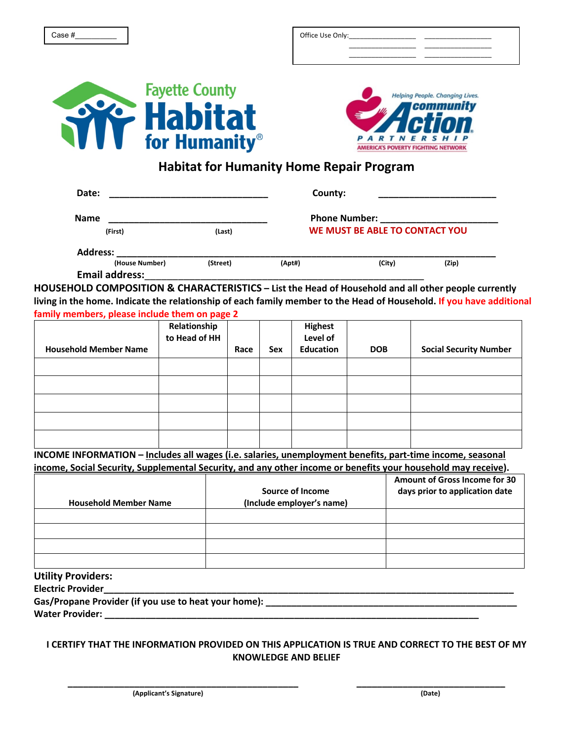| Office Use Only: |              |  |
|------------------|--------------|--|
|                  |              |  |
|                  | ____________ |  |





## **Habitat for Humanity Home Repair Program**

| Date:                 |          | County:                        |        |       |  |
|-----------------------|----------|--------------------------------|--------|-------|--|
| <b>Name</b>           |          | <b>Phone Number:</b>           |        |       |  |
| (First)               | (Last)   | WE MUST BE ABLE TO CONTACT YOU |        |       |  |
| <b>Address:</b>       |          |                                |        |       |  |
| (House Number)        | (Street) | (Apt#)                         | (City) | (Zip) |  |
| <b>Email address:</b> |          |                                |        |       |  |

**HOUSEHOLD COMPOSITION & CHARACTERISTICS – List the Head of Household and all other people currently living in the home. Indicate the relationship of each family member to the Head of Household. If you have additional family members, please include them on page 2**

|                              | Relationship<br>to Head of HH |      |     | <b>Highest</b><br>Level of |            |                               |
|------------------------------|-------------------------------|------|-----|----------------------------|------------|-------------------------------|
| <b>Household Member Name</b> |                               | Race | Sex | Education                  | <b>DOB</b> | <b>Social Security Number</b> |
|                              |                               |      |     |                            |            |                               |
|                              |                               |      |     |                            |            |                               |
|                              |                               |      |     |                            |            |                               |
|                              |                               |      |     |                            |            |                               |
|                              |                               |      |     |                            |            |                               |

**INCOME INFORMATION – Includes all wages (i.e. salaries, unemployment benefits, part-time income, seasonal income, Social Security, Supplemental Security, and any other income or benefits your household may receive).**

| <b>Household Member Name</b> | Source of Income<br>(Include employer's name) | Amount of Gross Income for 30<br>days prior to application date |
|------------------------------|-----------------------------------------------|-----------------------------------------------------------------|
|                              |                                               |                                                                 |
|                              |                                               |                                                                 |
|                              |                                               |                                                                 |
|                              |                                               |                                                                 |

## **Utility Providers:**

**Electric Provider** 

Gas/Propane Provider (if you use to heat your home): \_\_\_\_\_\_\_\_\_\_\_\_\_\_\_\_\_\_\_\_\_\_\_\_\_\_\_

Water Provider:

## **I CERTIFY THAT THE INFORMATION PROVIDED ON THIS APPLICATION IS TRUE AND CORRECT TO THE BEST OF MY KNOWLEDGE AND BELIEF**

**\_\_\_\_\_\_\_\_\_\_\_\_\_\_\_\_\_\_\_\_\_\_\_\_\_\_\_\_\_\_\_\_\_\_\_\_\_\_\_\_\_\_\_\_\_ \_\_\_\_\_\_\_\_\_\_\_\_\_\_\_\_\_\_\_\_\_\_\_\_\_\_\_\_\_**